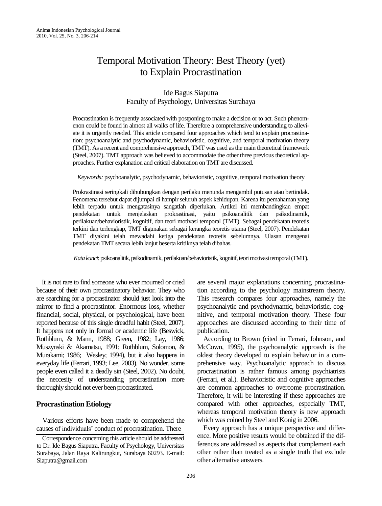# Temporal Motivation Theory: Best Theory (yet) to Explain Procrastination

## Ide Bagus Siaputra Faculty of Psychology, Universitas Surabaya

Procrastination is frequently associated with postponing to make a decision or to act. Such phenomenon could be found in almost all walks of life. Therefore a comprehensive understanding to alleviate it is urgently needed. This article compared four approaches which tend to explain procrastination: psychoanalytic and psychodynamic, behavioristic, cognitive, and temporal motivation theory (TMT). As a recent and comprehensive approach, TMT was used as the main theoretical framework (Steel, 2007). TMT approach was believed to accommodate the other three previous theoretical approaches. Further explanation and critical elaboration on TMT are discussed.

*Keywords:* psychoanalytic, psychodynamic, behavioristic, cognitive, temporal motivation theory

Prokrastinasi seringkali dihubungkan dengan perilaku menunda mengambil putusan atau bertindak. Fenomena tersebut dapat dijumpai di hampir seluruh aspek kehidupan. Karena itu pemahaman yang lebih terpadu untuk mengatasinya sangatlah diperlukan. Artikel ini membandingkan empat pendekatan untuk menjelaskan prokrastinasi, yaitu psikoanalitik dan psikodinamik, perilakuan/behavioristik, kognitif, dan teori motivasi temporal (TMT). Sebagai pendekatan teoretis terkini dan terlengkap, TMT digunakan sebagai kerangka teoretis utama (Steel, 2007). Pendekatan TMT diyakini telah mewadahi ketiga pendekatan teoretis sebelumnya. Ulasan mengenai pendekatan TMT secara lebih lanjut beserta kritiknya telah dibahas.

*Kata kunci*: psikoanalitik, psikodinamik, perilakuan/behavioristik, kognitif, teori motivasi temporal (TMT).

 It is not rare to find someone who ever mourned or cried because of their own procrastinatory behavior. They who are searching for a procrastinator should just look into the mirror to find a procrastintor. Enormous loss, whether financial, social, physical, or psychological, have been reported because of this single dreadful habit (Steel, 2007). It happens not only in formal or academic life (Beswick, Rothblum, & Mann, 1988; Green, 1982; Lay, 1986; Muszynski & Akamatsu, 1991; Rothblum, Solomon, & Murakami; 1986; Wesley; 1994), but it also happens in everyday life (Ferrari, 1993; Lee, 2003). No wonder, some people even called it a deadly sin (Steel, 2002). No doubt, the neccesity of understanding procrastination more thoroughly should not ever been procrastinated.

## **Procrastination Etiology**

 Various efforts have been made to comprehend the causes of individuals' conduct of procrastination. There

are several major explanations concerning procrastination according to the psychology mainstream theory. This research compares four approaches, namely the psychoanalytic and psychodynamic, behavioristic, cognitive, and temporal motivation theory. These four approaches are discussed according to their time of publication.

 According to Brown (cited in Ferrari, Johnson, and McCown, 1995), the psychoanalytic approavh is the oldest theory developed to explain behavior in a comprehensive way. Psychoanalytic approach to discuss procrastination is rather famous among psychiatrists (Ferrari, et al.). Behavioristic and cognitive approaches are common approaches to overcome procrastination. Therefore, it will be interesting if these approaches are compared with other approaches, especially TMT, whereas temporal motivation theory is new approach which was coined by Steel and Konig in 2006.

 Every approach has a unique perspective and difference. More positive results would be obtained if the differences are addressed as aspects that complement each other rather than treated as a single truth that exclude other alternative answers.

Correspondence concerning this article should be addressed to Dr. Ide Bagus Siaputra, Faculty of Psychology, Universitas Surabaya, Jalan Raya Kalirungkut, Surabaya 60293. E-mail: Siaputra@gmail.com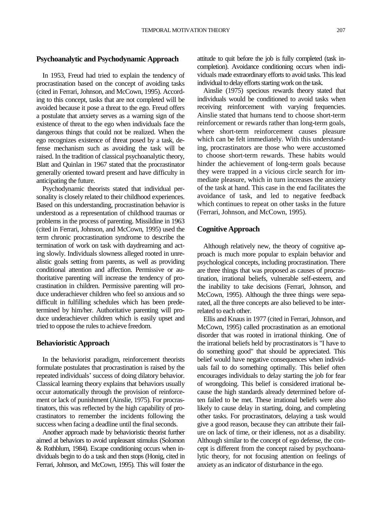### **Psychoanalytic and Psychodynamic Approach**

 In 1953, Freud had tried to explain the tendency of procrastination based on the concept of avoiding tasks (cited in Ferrari, Johnson, and McCown, 1995). According to this concept, tasks that are not completed will be avoided because it pose a threat to the ego. Freud offers a postulate that anxiety serves as a warning sign of the existence of threat to the ego when individuals face the dangerous things that could not be realized. When the ego recognizes existence of threat posed by a task, defense mechanism such as avoiding the task will be raised. In the tradition of classical psychoanalytic theory, Blatt and Quinlan in 1967 stated that the procrastinator generally oriented toward present and have difficulty in anticipating the future.

 Psychodynamic theorists stated that individual personality is closely related to their childhood experiences. Based on this understanding, procrastination behavior is understood as a representation of childhood traumas or problems in the process of parenting. Missildine in 1963 (cited in Ferrari, Johnson, and McCown, 1995) used the term chronic procrastination syndrome to describe the termination of work on task with daydreaming and acting slowly. Individuals slowness alleged rooted in unrealistic goals setting from parents, as well as providing conditional attention and affection. Permissive or authoritative parenting will increase the tendency of procrastination in children. Permissive parenting will produce underachiever children who feel so anxious and so difficult in fulfilling schedules which has been predetermined by him/her. Authoritative parenting will produce underachiever children which is easily upset and tried to oppose the rules to achieve freedom.

#### **Behavioristic Approach**

 In the behaviorist paradigm, reinforcement theorists formulate postulates that procrastination is raised by the repeated individuals' success of doing dilatory behavior. Classical learning theory explains that behaviors usually occur automatically through the provision of reinforcement or lack of punishment (Ainslie, 1975). For procrastinators, this was reflected by the high capability of procrastinators to remember the incidents following the success when facing a deadline until the final seconds.

 Another approach made by behavioristic theorist further aimed at behaviors to avoid unpleasant stimulus (Solomon & Rothblum, 1984). Escape conditioning occurs when individuals begin to do a task and then stops (Honig, cited in Ferrari, Johnson, and McCown, 1995). This will foster the attitude to quit before the job is fully completed (task incompletion). Avoidance conditioning occurs when individuals made extraordinary efforts to avoid tasks. This lead individual to delay efforts starting work on the task.

 Ainslie (1975) specious rewards theory stated that individuals would be conditioned to avoid tasks when receiving reinforcement with varying frequencies. Ainslie stated that humans tend to choose short-term reinforcement or rewards rather than long-term goals, where short-term reinforcement causes pleasure which can be felt immediately. With this understanding, procrastinators are those who were accustomed to choose short-term rewards. These habits would hinder the achievement of long-term goals because they were trapped in a vicious circle search for immediate pleasure, which in turn increases the anxiety of the task at hand. This case in the end facilitates the avoidance of task, and led to negative feedback which continues to repeat on other tasks in the future (Ferrari, Johnson, and McCown, 1995).

### **Cognitive Approach**

 Although relatively new, the theory of cognitive approach is much more popular to explain behavior and psychological concepts, including procrastination. There are three things that was proposed as causes of procrastination, irrational beliefs, vulnerable self-esteem, and the inability to take decisions (Ferrari, Johnson, and McCown, 1995). Although the three things were separated, all the three concepts are also believed to be interrelated to each other.

Ellis and Knaus in 1977 (cited in Ferrari, Johnson, and McCown, 1995) called procrastination as an emotional disorder that was rooted in irrational thinking. One of the irrational beliefs held by procrastinators is "I have to do something good" that should be appreciated. This belief would have negative consequences when individuals fail to do something optimally. This belief often encourages individuals to delay starting the job for fear of wrongdoing. This belief is considered irrational because the high standards already determined before often failed to be met. These irrational beliefs were also likely to cause delay in starting, doing, and completing other tasks. For procrastinators, delaying a task would give a good reason, because they can attribute their failure on lack of time, or their idleness, not as a disability. Although similar to the concept of ego defense, the concept is different from the concept raised by psychoanalytic theory, for not focusing attention on feelings of anxiety as an indicator of disturbance in the ego.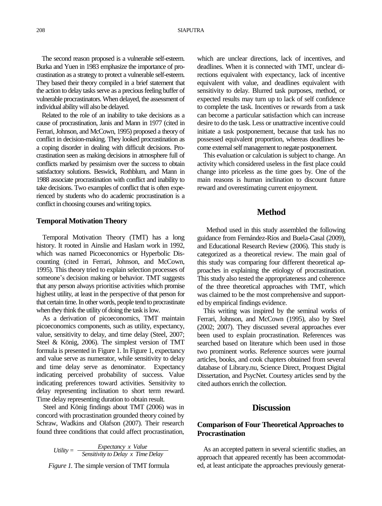The second reason proposed is a vulnerable self-esteem. Burka and Yuen in 1983 emphasize the importance of procrastination as a strategy to protect a vulnerable self-esteem. They based their theory compiled in a brief statement that the action to delay tasks serve as a precious feeling buffer of vulnerable procrastinators. When delayed, the assessment of individual abilitywill also be delayed.

 Related to the role of an inability to take decisions as a cause of procrastination, Janis and Mann in 1977 (cited in Ferrari, Johnson, and McCown, 1995) proposed a theory of conflict in decision-making. They looked procrastination as a coping disorder in dealing with difficult decisions. Procrastination seen as making decisions in atmosphere full of conflicts marked by pessimism over the success to obtain satisfactory solutions. Beswick, Rothblum, and Mann in 1988 associate procrastination with conflict and inability to take decisions. Two examples of conflict that is often experienced by students who do academic procrastination is a conflict in choosing courses andwriting topics.

#### **Temporal Motivation Theory**

 Temporal Motivation Theory (TMT) has a long history. It rooted in Ainslie and Haslam work in 1992, which was named Picoeconomics or Hyperbolic Discounting (cited in Ferrari, Johnson, and McCown, 1995). This theory tried to explain selection processes of someone's decision making or behavior. TMT suggests that any person always prioritise activities which promise highest utility, at least in the perspective of that person for that certain time. In other words, people tend to procrastinate when they think the utility of doing the task is low.

 As a derivation of picoeconomics, TMT maintain picoeconomics components, such as utility, expectancy, value, sensitivity to delay, and time delay (Steel, 2007; Steel & König, 2006). The simplest version of TMT formula is presented in Figure 1. In Figure 1, expectancy and value serve as numerator, while sensitivity to delay and time delay serve as denominator. Expectancy indicating perceived probability of success. Value indicating preferences toward activities. Sensitivity to delay representing inclination to short term reward. Time delay representing duration to obtain result.

 Steel and König findings about TMT (2006) was in concord with procrastination grounded theory coined by Schraw, Wadkins and Olafson (2007). Their research found three conditions that could affect procrastination,

*Utility = Expectancy x Value Sensitivity to Delay x Time Delay*

*Figure 1.* The simple version of TMT formula

which are unclear directions, lack of incentives, and deadlines. When it is connected with TMT, unclear directions equivalent with expectancy, lack of incentive equivalent with value, and deadlines equivalent with sensitivity to delay. Blurred task purposes, method, or expected results may turn up to lack of self confidence to complete the task. Incentives or rewards from a task can become a particular satisfaction which can increase desire to do the task. Less or unattractive incentive could initiate a task postponement, because that task has no possessed equivalent proportion, whereas deadlines become external self management to negate postponement.

 This evaluation or calculation is subject to change. An activity which considered useless in the first place could change into priceless as the time goes by. One of the main reasons is human inclination to discount future reward and overestimating current enjoyment.

### **Method**

Method used in this study assembled the following guidance from Fernández-Ríos and Buela-Casal (2009), and Educational Research Review (2006). This study is categorized as a theoretical review. The main goal of this study was comparing four different theoretical approaches in explaining the etiology of procrastination. This study also tested the appropriateness and coherence of the three theoretical approaches with TMT, which was claimed to be the most comprehensive and supported by empirical findings evidence.

 This writing was inspired by the seminal works of Ferrari, Johnson, and McCown (1995), also by Steel (2002; 2007). They discussed several approaches ever been used to explain procrastination. References was searched based on literature which been used in those two prominent works. Reference sources were journal articles, books, and cook chapters obtained from several database of Library.nu, Science Direct, Proquest Digital Dissertation, and PsycNet. Courtesy articles send by the cited authors enrich the collection.

## **Discussion**

## **Comparison of Four Theoretical Approachesto Procrastination**

 As an accepted pattern in several scientific studies, an approach that appeared recently has been accommodated, at least anticipate the approaches previously generat-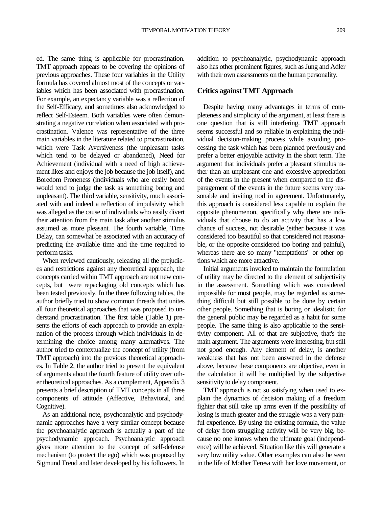ed. The same thing is applicable for procrastination. TMT approach appears to be covering the opinions of previous approaches. These four variables in the Utility formula has covered almost most of the concepts or variables which has been associated with procrastination. For example, an expectancy variable was a reflection of the Self-Efficacy, and sometimes also acknowledged to reflect Self-Esteem. Both variables were often demonstrating a negative correlation when associated with procrastination. Valence was representative of the three main variables in the literature related to procrastination, which were Task Aversiveness (the unpleasant tasks which tend to be delayed or abandoned), Need for Achievement (individual with a need of high achievement likes and enjoys the job because the job itself), and Boredom Proneness (individuals who are easily bored would tend to judge the task as something boring and unpleasant). The third variable, sensitivity, much associated with and indeed a reflection of impulsivity which was alleged as the cause of individuals who easily divert their attention from the main task after another stimulus assumed as more pleasant. The fourth variable, Time Delay, can somewhat be associated with an accuracy of predicting the available time and the time required to perform tasks.

 When reviewed cautiously, releasing all the prejudices and restrictions against any theoretical approach, the concepts carried within TMT approach are not new concepts, but were repackaging old concepts which has been tested previously. In the three following tables, the author briefly tried to show common threads that unites all four theoretical approaches that was proposed to understand procrastination. The first table (Table 1) presents the efforts of each approach to provide an explanation of the process through which individuals in determining the choice among many alternatives. The author tried to contextualize the concept of utility (from TMT approach) into the previous theoretical approaches. In Table 2, the author tried to present the equivalent of arguments about the fourth feature of utility over other theoretical approaches. As a complement, Appendix 3 presents a brief description of TMT concepts in all three components of attitude (Affective, Behavioral, and Cognitive).

 As an additional note, psychoanalytic and psychodynamic approaches have a very similar concept because the psychoanalytic approach is actually a part of the psychodynamic approach. Psychoanalytic approach gives more attention to the concept of self-defense mechanism (to protect the ego) which was proposed by Sigmund Freud and later developed by his followers. In

addition to psychoanalytic, psychodynamic approach also has other prominent figures, such as Jung and Adler with their own assessments on the human personality.

#### **Critics against TMT Approach**

 Despite having many advantages in terms of completeness and simplicity of the argument, at least there is one question that is still interfering. TMT approach seems successful and so reliable in explaining the individual decision-making process while avoiding processing the task which has been planned previously and prefer a better enjoyable activity in the short term. The argument that individuals prefer a pleasant stimulus rather than an unpleasant one and excessive appreciation of the events in the present when compared to the disparagement of the events in the future seems very reasonable and inviting nod in agreement. Unfortunately, this approach is considered less capable to explain the opposite phenomenon, specifically why there are individuals that choose to do an activity that has a low chance of success, not desirable (either because it was considered too beautiful so that considered not reasonable, or the opposite considered too boring and painful), whereas there are so many "temptations" or other options which are more attractive.

 Initial arguments invoked to maintain the formulation of utility may be directed to the element of subjectivity in the assessment. Something which was considered impossible for most people, may be regarded as something difficult but still possible to be done by certain other people. Something that is boring or idealistic for the general public may be regarded as a habit for some people. The same thing is also applicable to the sensitivity component. All of that are subjective, that's the main argument. The arguments were interesting, but still not good enough. Any element of delay, is another weakness that has not been answered in the defense above, because these components are objective, even in the calculation it will be multiplied by the subjective sensitivity to delay component.

 TMT approach is not so satisfying when used to explain the dynamics of decision making of a freedom fighter that still take up arms even if the possibility of losing is much greater and the struggle was a very painful experience. By using the existing formula, the value of delay from struggling activity will be very big, because no one knows when the ultimate goal (independence) will be achieved. Situation like this will generate a very low utility value. Other examples can also be seen in the life of Mother Teresa with her love movement, or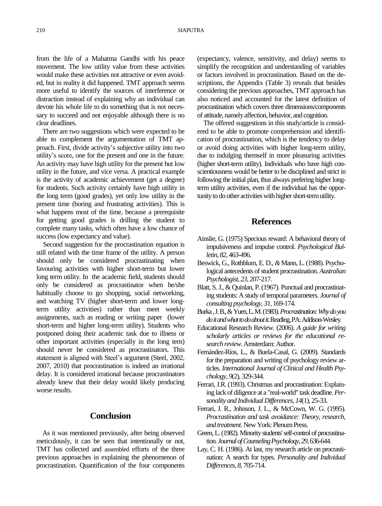#### 210 SIAPUTRA

from the life of a Mahatma Gandhi with his peace movement. The low utility value from these activities would make these activities not attractive or even avoided, but in reality it did happened. TMT approach seems more useful to identify the sources of interference or distraction instead of explaining why an individual can devote his whole life to do something that is not necessary to succeed and not enjoyable although there is no clear deadlines.

 There are two suggestions which were expected to be able to complement the argumentation of TMT approach. First, divide activity's subjective utility into two utility's score, one for the present and one in the future. An activity may have high utility for the present but low utility in the future, and vice versa. A practical example is the activity of academic achievement (get a degree) for students. Such activity certainly have high utility in the long term (good grades), yet only low utility in the present time (boring and frustrating activities). This is what happens most of the time, because a prerequisite for getting good grades is drilling the student to complete many tasks, which often have a low chance of success (low expectancy and value).

Second suggestion for the procrastination equation is still related with the time frame of the utility. A person should only be considered procrastinating when favouring activities with higher short-term but lower long term utility. In the academic field, students should only be considered as procrastinator when he/she habitually choose to go shopping, social networking, and watching TV (higher short-term and lower longterm utility activities) rather than meet weekly assignments, such as reading or writing paper (lower short-term and higher long-term utility). Students who postponed doing their academic task due to illness or other important activities (especially in the long tern) should never be considered as procrastinators. This statement is aligned with Steel's argument (Steel, 2002, 2007, 2010) that procrastination is indeed an irrational delay. It is considered irrational because procrastinators already knew that their delay would likely producing worse results.

# **Conclusion**

 As it was mentioned previously, after being observed meticulously, it can be seen that intentionally or not, TMT has collected and assembled efforts of the three previous approaches in explaining the phenomenon of procrastination. Quantification of the four components

(expectancy, valence, sensitivity, and delay) seems to simplify the recognition and understanding of variables or factors involved in procrastination. Based on the descriptions, the Appendix (Table 3) reveals that besides considering the previous approaches, TMT approach has also noticed and accounted for the latest definition of procrastination which covers three dimensions/components of attitude, namelyaffection, behavior, and cognition.

 The offered suggestions in this study/article is considered to be able to promote comprehension and identification of procrastination, which is the tendency to delay or avoid doing activities with higher long-term utility, due to indulging themself in more pleasuring activities (higher short-term utility). Individuals who have high conscientiousness would be better to be disciplined and strict in following the initial plan, thus always prefering higher longterm utility activities, even if the individual has the opportunity to do other activities with higher short-term utility.

# **References**

- Ainslie, G. (1975) Specious reward: A behavioral theory of impulsiveness and impulse control. *Psychological Bulletin, 82,* 463-496.
- Beswick, G., Rothblum, E. D., *&* Mann, L. (1988). Psychological antecedents of student procrastination. *Australian Psychologist*, *23*, 207-217.
- Blatt, S. J., & Quinlan, P. (1967). Punctual and procrastinating students: A study of temporal parameters. *Journal of consulting psychology, 31,* 169-174.
- Burka , J. B., & Yuen, L. M. (1983). *Procrastination: Why do you do it and what to do about it*. Reading, PA: Addison-Wesley.
- Educational Research Review. (2006). *A guide for writing scholarly articles or reviews for the educational research review*. Amsterdam: Author.
- Fernández-Ríos, L., & Buela-Casal, G. (2009). Standards for the preparation and writing of psychology review articles. *International Journal of Clinical and Health Psychology, 9*(2)*,* 329-344.
- Ferrari, J.R. (1993). Christmas and procrastination: Explaining lack of diligence at a "real-world" task deadline. *Personality and Individual Differences, 14*(1), 25-33.
- Ferrari, J. R., Johnson, J. L., & McCown, W. G. (1995). *Procrastination and task avoidance: Theory, research, and treatment*. New York: Plenum Press.
- Green, L. (1982). Minority students' self-control of procrastination.*Journal of Counseling Psycholoqy, 29*, 636-644.
- Lay, C. H. (1986). At last, my research article on procrastination: A search for types. *Personality and Individual Differences*, *8*, 705-714.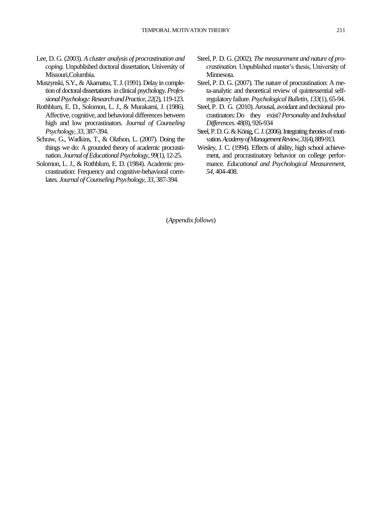- Lee, D. G. (2003). *A cluster analysis of procrastination and coping.* Unpublished doctoral dissertation, University of Missouri,Columbia.
- Muszynski, S.Y., & Akamatsu, T.J. (1991). Delay in completion of doctoral dissertations in clinical psychology. *Professional Psychology: Research and Practice, 22*(2), 119-123.
- Rothblum, E. D., Solomon, L. J., & Murakami, J. (1986). Affective, cognitive, and behavioral differences between high and low procrastinators. *Journal of Counseling Psychology, 33,* 387-394.
- Schraw, G., Wadkins, T., & Olafson, L. (2007). Doing the things we do: A grounded theory of academic procrastination. *Journal of Educational Psychology*, *99*(1), 12-25.
- Solomon, L. J., & Rothblum, E. D. (1984). Academic procrastination: Frequency and cognitive-behavioral correlates. *Journal of Counseling Psychology, 33*, 387-394.
- Steel, P. D. G. (2002). *The measurement and nature of procrastination.* Unpublished master's thesis, University of Minnesota.
- Steel, P. D. G. (2007). The nature of procrastination: A meta-analytic and theoretical review of quintessential selfregulatory failure. *Psychological Bulletin*, *133*(1), 65-94.
- Steel, P. D. G. (2010). Arousal, avoidant and decisional procrastinators:Do they exist?*Personality* and*Individual Differences*. *48*(8),926-934
- Steel, P. D. G. & König, C. J. (2006). Integrating theories of motivation. *Academy of Management Review, 31*(4), 889-913.
- Wesley, J*.* C. (1994). Effects of ability, high school achievement, and procrastinatory behavior on college performance*. Educational and Psychological Measurement, 54*, 404-408.

(*Appendix follows*)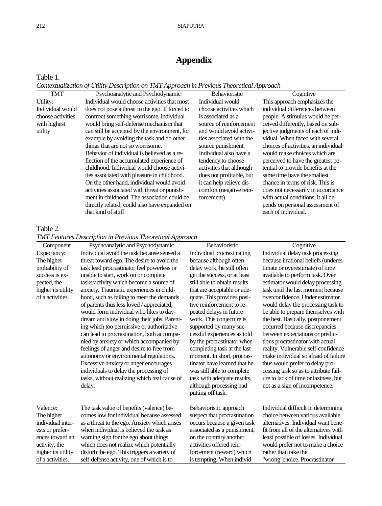# **Appendix**

## Table 1.

*Contextualization of Utility Description on TMT Approach in Previous Theoretical Approach*

| <b>TMT</b>        | Psychoanalytic and Psychodynamic                | Behavioristic            | Cognitive                            |
|-------------------|-------------------------------------------------|--------------------------|--------------------------------------|
| Utility:          | Individual would choose activities that most    | Individual would         | This approach emphasizes the         |
| Individual would  | does not pose a threat to the ego. If forced to | choose activities which  | individual differences between       |
| choose activities | confront something worrisome, individual        | is associated as a       | people. A stimulus would be per-     |
| with highest      | would bring self-defense mechanism that         | source of reinforcement  | ceived differently, based on sub-    |
| utility           | can still be accepted by the environment, for   | and would avoid activi-  | jective judgments of each of indi-   |
|                   | example by avoiding the task and do other       | ties associated with the | vidual. When faced with several      |
|                   | things that are not so worrisome.               | source punishment.       | choices of activities, an individual |
|                   | Behavior of individual is believed as a re-     | Individual also have a   | would make choices which are         |
|                   | flection of the accumulated experience of       | tendency to choose       | perceived to have the greatest po-   |
|                   | childhood. Individual would choose activi-      | activities that although | tential to provide benefits at the   |
|                   | ties associated with pleasure in childhood.     | does not profitable, but | same time have the smallest          |
|                   | On the other hand, individual would avoid       | it can help relieve dis- | chance in terms of risk. This is     |
|                   | activities associated with threat or punish-    | comfort (negative rein-  | does not necessarily in accordance   |
|                   | ment in childhood. The association could be     | forcement).              | with actual conditions, it all de-   |
|                   | directly related, could also have expanded on   |                          | pends on personal assessment of      |
|                   | that kind of stuff                              |                          | each of individual.                  |

## Table 2.

*TMT Features Description in Previous Theoretical Approach*

| Component          | Psychoanalytic and Psychodynamic             | Behavioristic                                | Cognitive                             |
|--------------------|----------------------------------------------|----------------------------------------------|---------------------------------------|
| Expectancy:        | Individual avoid the task because sensed a   | Individual procrastinating                   | Individual delay task processing      |
| The higher         | threat toward ego. The desire to avoid the   | because although often                       | because irrational beliefs (underes-  |
| probability of     | task lead procrastinator feel powerless or   | delay work, he still often                   | timate or overestimate) of time       |
| success is ex-     | unable to start, work on or complete         | get the success, or at least                 | available to perform task. Over       |
| pected, the        | tasks/activity which become a source of      | still able to obtain results                 | estimator would delay processing      |
| higher its utility | anxiety. Traumatic experiences in child-     | that are acceptable or ade-                  | task until the last moment because    |
| of a activities.   | hood, such as failing to meet the demands    | quate. This provides posi-                   | overconfidence. Under estimator       |
|                    | of parents thus less loved / appreciated,    | tive reinforcement to re-                    | would delay the processing task to    |
|                    | would form individual who likes to day-      | peated delays in future                      | be able to prepare themselves with    |
|                    | dream and slow in doing their jobs. Parent-  | work. This conjecture is                     | the best. Basically, postponement     |
|                    | ing which too permissive or authoritative    | supported by many suc-                       | occurred because discrepancies        |
|                    | can lead to procrastination, both accompa-   | cessful experiences as told                  | between expectations or predic-       |
|                    | nied by anxiety or which accompanied by      | by the procrastinator when                   | tions procrastinator with actual      |
|                    | feelings of anger and desire to free from    | completing task at the last                  | reality. Vulnerable self-confidence   |
|                    | autonomy or environmental regulations.       | moment. In short, procras-                   | make individual so afraid of failure  |
|                    | Excessive anxiety or anger encourages        | tinator have learned that he                 | thus would prefer to delay pro-       |
|                    | individuals to delay the processing of       | was still able to complete                   | cessing task so as to attribute fail- |
|                    | tasks, without realizing which real cause of | task with adequate results,                  | ure to lack of time or laziness, but  |
|                    | delay.                                       | although processing had<br>putting off task. | not as a sign of incompetence.        |
| Valence:           | The task value of benefits (valence) be-     | Behavioristic approach                       | Individual difficult in determining   |
| The higher         | comes low for individual because assessed    | suspect that procrastination                 | choice between various available      |
| individual inter-  | as a threat to the ego. Anxiety which arises | occurs because a given task                  | alternatives. Individual want bene-   |
| ests or prefer-    | when individual is believed the task as      | associated as a punishment,                  | fit from all of the alternatives with |
| ences toward an    | warning sign for the ego about things        | on the contrary another                      | least possible of losses. Individual  |
| activity, the      | which does not realize which potentially     | activities offered rein-                     | would prefer not to make a choice     |
| higher its utility | disturb the ego. This triggers a variety of  | forcement (reward) which                     | rather than take the                  |
| of a activities.   | self-defense activity, one of which is to    | is tempting. When individ-                   | "wrong"choice. Procrastinator         |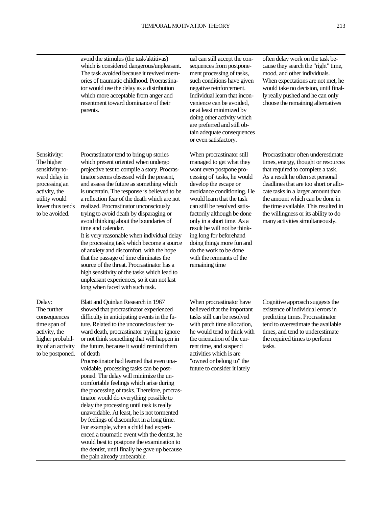avoid the stimulus(the task/aktitivas) which is considered dangerous/unpleasant. The task avoided because it revived memories of traumatic childhood. Procrastinator would use the delay as a distribution which more acceptable from anger and resentment toward dominance of their parents.

Sensitivity: The higher sensitivity toward delay in processing an activity, the utility would lower thus tends to be avoided.

Procrastinator tend to bring up stories which present oriented when undergo projective test to compile a story. Procrastinator seems obsessed with the present, and assess the future as something which is uncertain. The response is believed to be a reflection fear of the death which are not realized. Procrastinator unconsciously trying to avoid death by disparaging or avoid thinking about the boundaries of time and calendar.

It is very reasonable when individual delay the processing task which become a source of anxiety and discomfort, with the hope that the passage of time eliminates the source of the threat. Procrastinator has a high sensitivity of the tasks which lead to unpleasant experiences, so it can not last long when faced with such task.

Delay: The further consequences time span of activity, the higher probability of an activity to be postponed. Blatt and Quinlan Research in 1967 showed that procrastinator experienced difficulty in anticipating events in the future. Related to the unconscious fear toward death, procrastinator trying to ignore or notthink something that will happen in the future, because it would remind them of death

Procrastinator had learned that even unavoidable, processing tasks can be postponed. The delay will minimize the uncomfortable feelings which arise during the processing of tasks. Therefore, procrastinator would do everything possible to delay the processing until task is really unavoidable. At least, he is not tormented by feelings of discomfort in a long time. For example, when a child had experienced a traumatic event with the dentist, he would best to postpone the examination to the dentist, until finally he gave up because the pain already unbearable.

ual can still accept the consequences from postponement processing of tasks, such conditions have given negative reinforcement. Individual learn that inconvenience can be avoided, or at least minimized by doing other activity which are preferred and still obtain adequate consequences or even satisfactory.

When procrastinator still managed to get what they want even postpone processing of tasks, he would develop the escape or avoidance conditioning. He would learn that the task can still be resolved satisfactorily although be done only in a short time. As a result he will not be thinking long for beforehand doing things more fun and do the work to be done with the remnants of the remaining time

When procrastinator have believed that the important tasks still can be resolved with patch time allocation, he would tend to think with the orientation of the current time, and suspend activities which is are "owned or belong to" the future to consider it lately

often delay work on the task because they search the "right" time, mood, and other individuals. When expectations are not met, he would take no decision, until finally really pushed and he can only choose the remaining alternatives

Procrastinator often underestimate times, energy, thought or resources that required to complete a task. As a result he often set personal deadlines that are too short or allocate tasks in a larger amount than the amount which can be done in the time available. This resulted in the willingness or its ability to do many activities simultaneously.

Cognitive approach suggests the existence of individual errors in predicting times. Procrastinator tend to overestimate the available times, and tend to underestimate the required times to perform tasks.